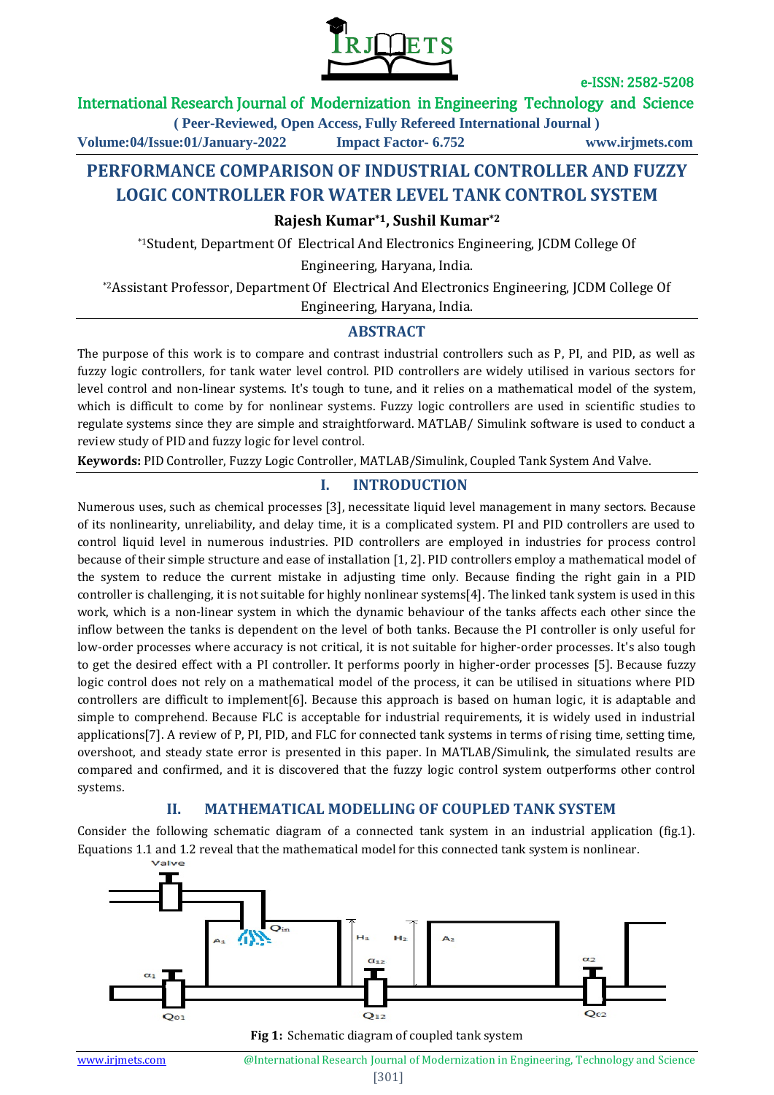

## International Research Journal of Modernization in Engineering Technology and Science

**( Peer-Reviewed, Open Access, Fully Refereed International Journal )**

**Volume:04/Issue:01/January-2022 Impact Factor- 6.752 www.irjmets.com**

# **PERFORMANCE COMPARISON OF INDUSTRIAL CONTROLLER AND FUZZY LOGIC CONTROLLER FOR WATER LEVEL TANK CONTROL SYSTEM**

**Rajesh Kumar\*1, Sushil Kumar\*2**

\*1Student, Department Of Electrical And Electronics Engineering, JCDM College Of

Engineering, Haryana, India.

\*2Assistant Professor, Department Of Electrical And Electronics Engineering, JCDM College Of

Engineering, Haryana, India.

## **ABSTRACT**

The purpose of this work is to compare and contrast industrial controllers such as P, PI, and PID, as well as fuzzy logic controllers, for tank water level control. PID controllers are widely utilised in various sectors for level control and non-linear systems. It's tough to tune, and it relies on a mathematical model of the system, which is difficult to come by for nonlinear systems. Fuzzy logic controllers are used in scientific studies to regulate systems since they are simple and straightforward. MATLAB/ Simulink software is used to conduct a review study of PID and fuzzy logic for level control.

**Keywords:** PID Controller, Fuzzy Logic Controller, MATLAB/Simulink, Coupled Tank System And Valve.

## **I. INTRODUCTION**

Numerous uses, such as chemical processes [3], necessitate liquid level management in many sectors. Because of its nonlinearity, unreliability, and delay time, it is a complicated system. PI and PID controllers are used to control liquid level in numerous industries. PID controllers are employed in industries for process control because of their simple structure and ease of installation [1, 2]. PID controllers employ a mathematical model of the system to reduce the current mistake in adjusting time only. Because finding the right gain in a PID controller is challenging, it is not suitable for highly nonlinear systems[4]. The linked tank system is used in this work, which is a non-linear system in which the dynamic behaviour of the tanks affects each other since the inflow between the tanks is dependent on the level of both tanks. Because the PI controller is only useful for low-order processes where accuracy is not critical, it is not suitable for higher-order processes. It's also tough to get the desired effect with a PI controller. It performs poorly in higher-order processes [5]. Because fuzzy logic control does not rely on a mathematical model of the process, it can be utilised in situations where PID controllers are difficult to implement[6]. Because this approach is based on human logic, it is adaptable and simple to comprehend. Because FLC is acceptable for industrial requirements, it is widely used in industrial applications[7]. A review of P, PI, PID, and FLC for connected tank systems in terms of rising time, setting time, overshoot, and steady state error is presented in this paper. In MATLAB/Simulink, the simulated results are compared and confirmed, and it is discovered that the fuzzy logic control system outperforms other control systems.

## **II. MATHEMATICAL MODELLING OF COUPLED TANK SYSTEM**

Consider the following schematic diagram of a connected tank system in an industrial application (fig.1). Equations 1.1 and 1.2 reveal that the mathematical model for this connected tank system is nonlinear.



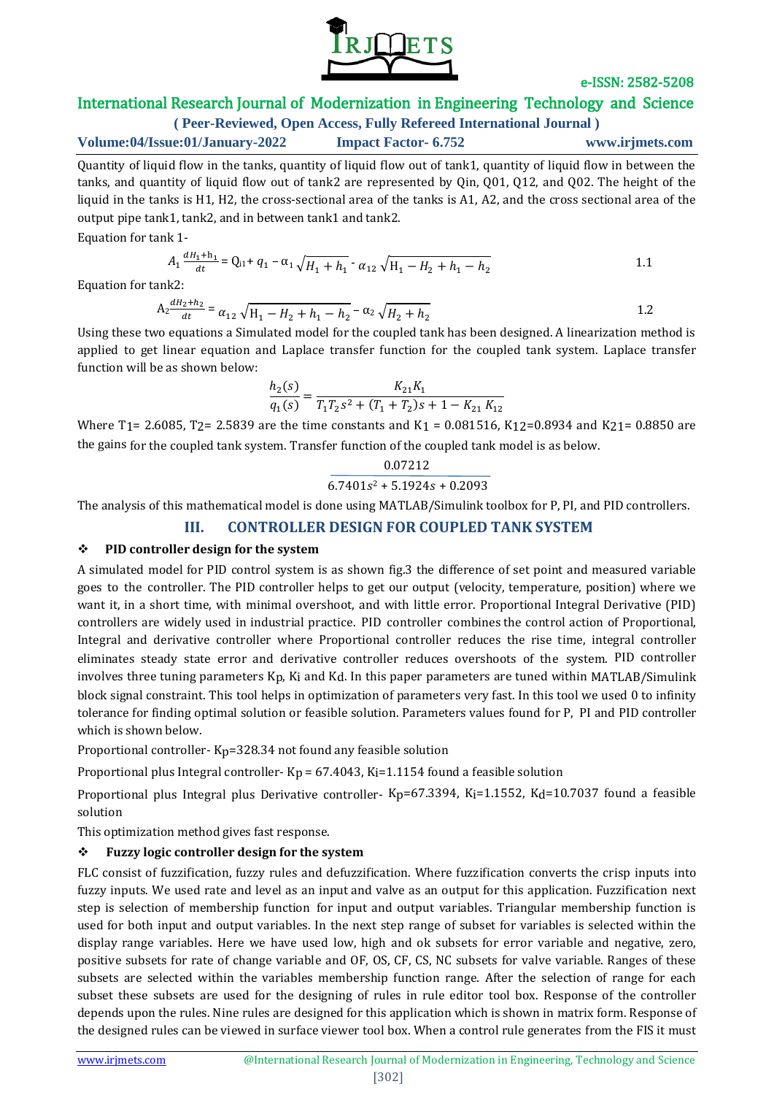

## International Research Journal of Modernization in Engineering Technology and Science

**( Peer-Reviewed, Open Access, Fully Refereed International Journal ) Volume:04/Issue:01/January-2022 Impact Factor- 6.752 www.irjmets.com**

Quantity of liquid flow in the tanks, quantity of liquid flow out of tank1, quantity of liquid flow in between the tanks, and quantity of liquid flow out of tank2 are represented by Qin, Q01, Q12, and Q02. The height of the liquid in the tanks is H1, H2, the cross-sectional area of the tanks is A1, A2, and the cross sectional area of the output pipe tank1, tank2, and in between tank1 and tank2.

Equation for tank 1-

$$
A_1 \frac{dH_1 + h_1}{dt} = Q_{11} + q_1 - \alpha_1 \sqrt{H_1 + h_1} - \alpha_{12} \sqrt{H_1 - H_2 + h_1 - h_2}
$$

Equation for tank2:

$$
A_2 \frac{dH_2 + h_2}{dt} = \alpha_{12} \sqrt{H_1 - H_2 + h_1 - h_2} - \alpha_2 \sqrt{H_2 + h_2}
$$

Using these two equations a Simulated model for the coupled tank has been designed. A linearization method is applied to get linear equation and Laplace transfer function for the coupled tank system. Laplace transfer function will be as shown below:

$$
\frac{h_2(s)}{q_1(s)} = \frac{K_{21}K_1}{T_1T_2s^2 + (T_1 + T_2)s + 1 - K_{21}K_{12}}
$$

Where T<sub>1</sub> = 2.6085, T<sub>2</sub> = 2.5839 are the time constants and K<sub>1</sub> = 0.081516, K<sub>12</sub> = 0.8934 and K<sub>21</sub> = 0.8850 are the gains for the coupled tank system. Transfer function of the coupled tank model is as below.

$$
\frac{0.07212}{6.7401s^2 + 5.1924s + 0.2093}
$$

The analysis of this mathematical model is done using MATLAB/Simulink toolbox for P, PI, and PID controllers.

## **III. CONTROLLER DESIGN FOR COUPLED TANK SYSTEM**

#### **PID controller design for the system**

A simulated model for PID control system is as shown fig.3 the difference of set point and measured variable goes to the controller. The PID controller helps to get our output (velocity, temperature, position) where we want it, in a short time, with minimal overshoot, and with little error. Proportional Integral Derivative (PID) controllers are widely used in industrial practice. PID controller combines the control action of Proportional, Integral and derivative controller where Proportional controller reduces the rise time, integral controller eliminates steady state error and derivative controller reduces overshoots of the system. PID controller involves three tuning parameters Kp, Ki and Kd. In this paper parameters are tuned within MATLAB/Simulink block signal constraint. This tool helps in optimization of parameters very fast. In this tool we used 0 to infinity tolerance for finding optimal solution or feasible solution. Parameters values found for P, PI and PID controller which is shown below.

Proportional controller- Kp=328.34 not found any feasible solution

Proportional plus Integral controller- $Kp = 67.4043$ ,  $Ki=1.1154$  found a feasible solution

Proportional plus Integral plus Derivative controller- Kp=67.3394, Ki=1.1552, Kd=10.7037 found a feasible solution

This optimization method gives fast response.

## **Fuzzy logic controller design for the system**

FLC consist of fuzzification, fuzzy rules and defuzzification. Where fuzzification converts the crisp inputs into fuzzy inputs. We used rate and level as an input and valve as an output for this application. Fuzzification next step is selection of membership function for input and output variables. Triangular membership function is used for both input and output variables. In the next step range of subset for variables is selected within the display range variables. Here we have used low, high and ok subsets for error variable and negative, zero, positive subsets for rate of change variable and OF, OS, CF, CS, NC subsets for valve variable. Ranges of these subsets are selected within the variables membership function range. After the selection of range for each subset these subsets are used for the designing of rules in rule editor tool box. Response of the controller depends upon the rules. Nine rules are designed for this application which is shown in matrix form. Response of the designed rules can be viewed in surface viewer tool box. When a control rule generates from the FIS it must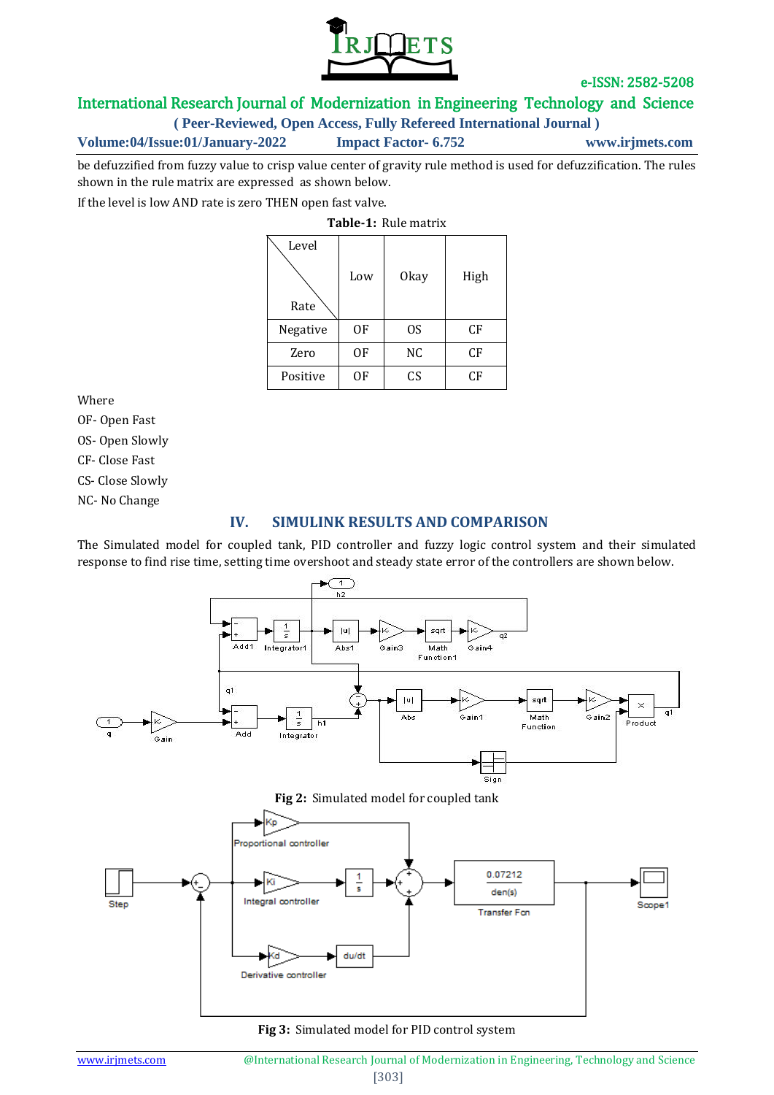

## International Research Journal of Modernization in Engineering Technology and Science

**( Peer-Reviewed, Open Access, Fully Refereed International Journal )**

**Volume:04/Issue:01/January-2022 Impact Factor- 6.752 www.irjmets.com**

be defuzzified from fuzzy value to crisp value center of gravity rule method is used for defuzzification. The rules shown in the rule matrix are expressed as shown below.

If the level is low AND rate is zero THEN open fast valve.

**Table-1:** Rule matrix

| Level    | Low | Okay | High |
|----------|-----|------|------|
| Rate     |     |      |      |
| Negative | 0F  | 0S   | CF   |
| Zero     | 0F  | NC   | CF   |
| Positive | OF  | CS   | CF   |

Where

OF- Open Fast

OS- Open Slowly

CF- Close Fast

CS- Close Slowly

NC- No Change

## **IV. SIMULINK RESULTS AND COMPARISON**

The Simulated model for coupled tank, PID controller and fuzzy logic control system and their simulated response to find rise time, setting time overshoot and steady state error of the controllers are shown below.



#### **Fig 3:** Simulated model for PID control system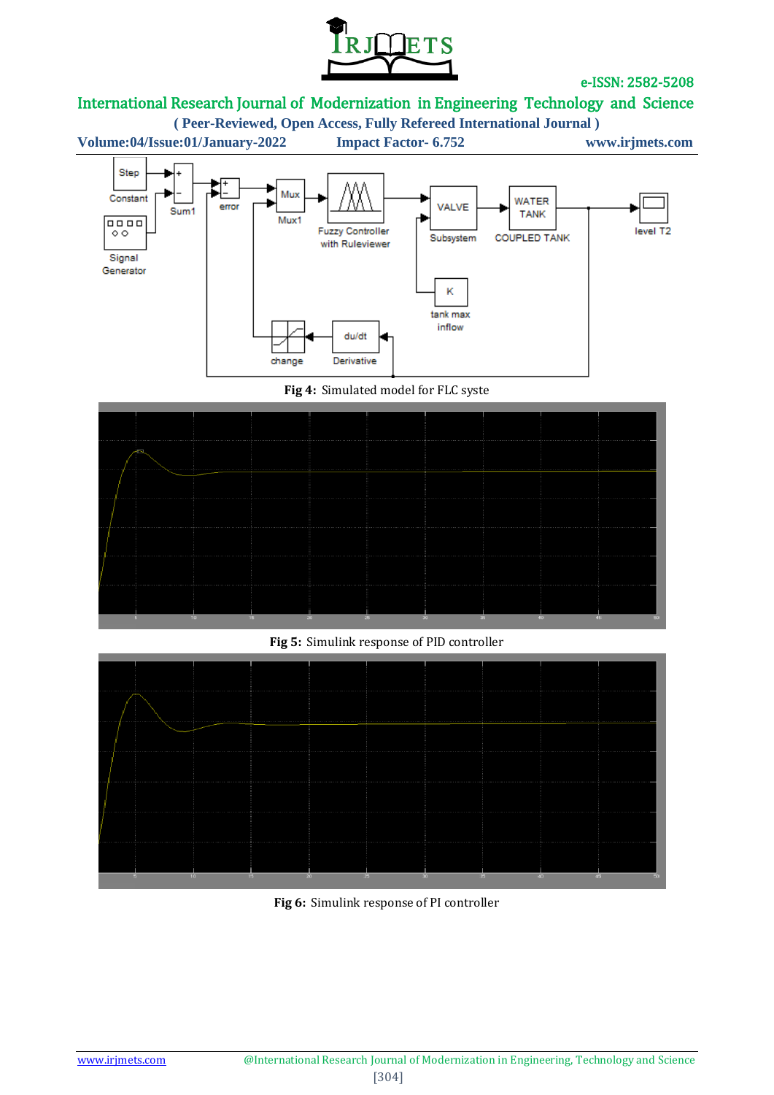

# International Research Journal of Modernization in Engineering Technology and Science

**( Peer-Reviewed, Open Access, Fully Refereed International Journal )**



**Fig 4:** Simulated model for FLC syste



## **Fig 5:** Simulink response of PID controller



**Fig 6:** Simulink response of PI controller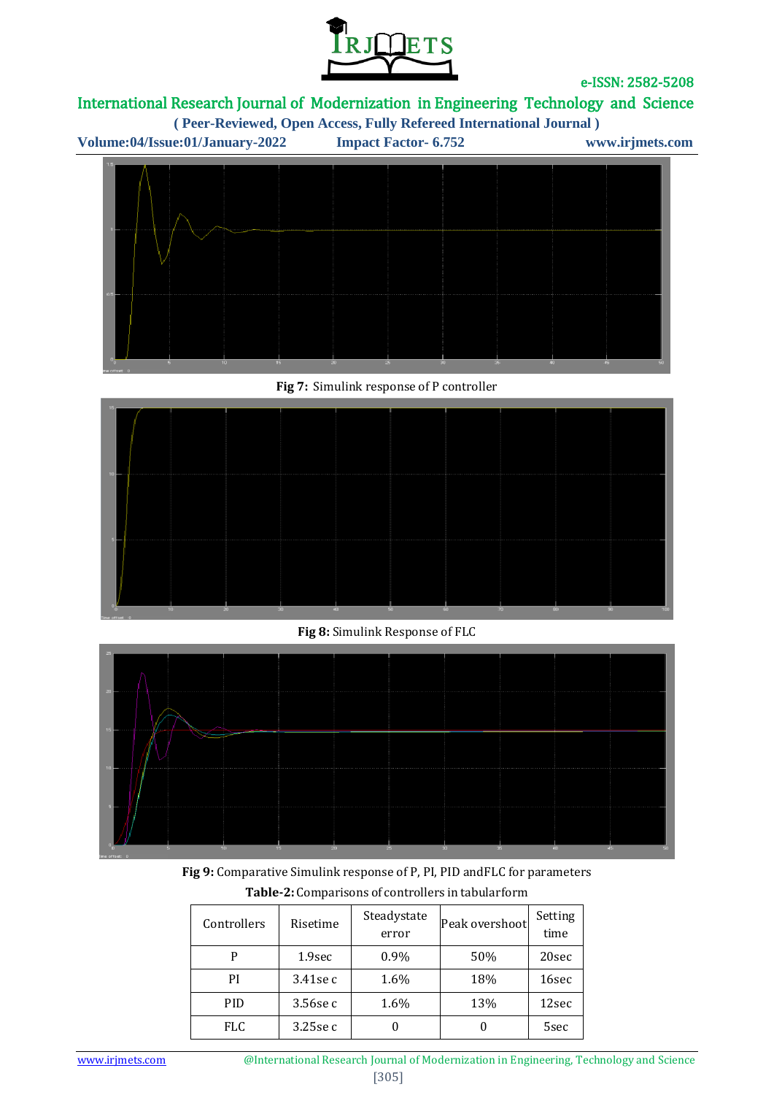

# International Research Journal of Modernization in Engineering Technology and Science

**( Peer-Reviewed, Open Access, Fully Refereed International Journal )**





**Fig 7:** Simulink response of P controller



**Fig 8:** Simulink Response of FLC



**Fig 9:** Comparative Simulink response of P, PI, PID andFLC for parameters **Table-2:** Comparisons of controllers in tabularform

| Controllers | Risetime    | Steadystate<br>error | Peak overshoot | Setting<br>time |
|-------------|-------------|----------------------|----------------|-----------------|
| P           | 1.9sec      | $0.9\%$              | 50%            | 20sec           |
| PI          | $3.41$ se c | 1.6%                 | 18%            | 16sec           |
| <b>PID</b>  | 3.56se c    | 1.6%                 | 13%            | 12sec           |
| <b>FLC</b>  | $3.25$ se c |                      |                | 5sec            |